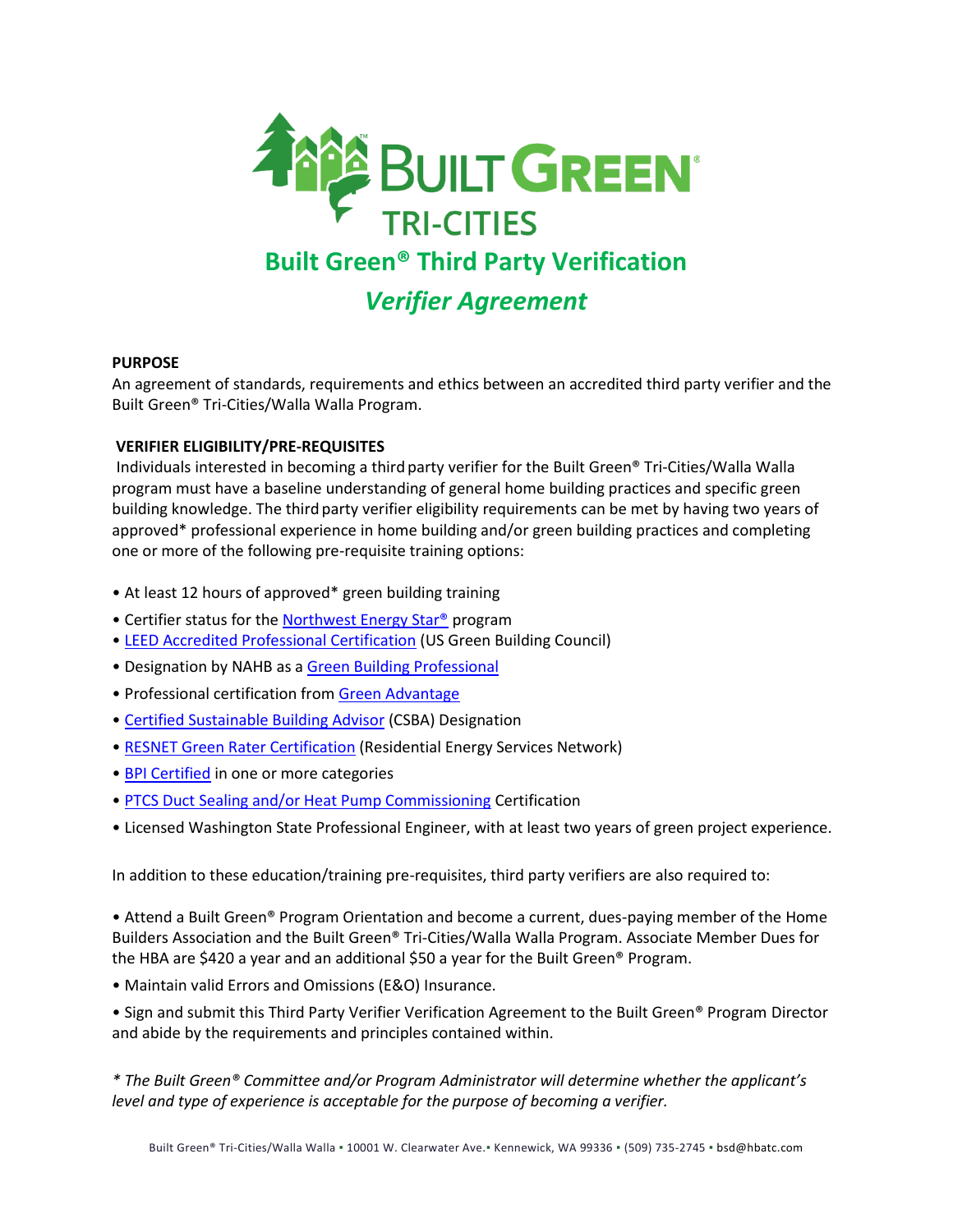

## **PURPOSE**

An agreement of standards, requirements and ethics between an accredited third party verifier and the Built Green® Tri-Cities/Walla Walla Program.

## **VERIFIER ELIGIBILITY/PRE-REQUISITES**

Individuals interested in becoming a third party verifier for the Built Green® Tri-Cities/Walla Walla program must have a baseline understanding of general home building practices and specific green building knowledge. The third party verifier eligibility requirements can be met by having two years of approved\* professional experience in home building and/or green building practices and completing one or more of the following pre-requisite training options:

- At least 12 hours of approved\* green building training
- Certifier status for the Northwest Energy Star<sup>®</sup> program
- [LEED Accredited Professional Certification](http://www.gbci.org/main-nav/professional-credentials/credentials.aspx) (US Green Building Council)
- Designation by NAHB as a [Green Building Professional](http://www.nahb.org/category.aspx?sectionID=1174)
- Professional certification fro[m Green Advantage](http://www.greenadvantage.org/)
- [Certified Sustainable Building Advisor](http://www.nasbap.org/) (CSBA) Designation
- [RESNET Green Rater Certification](http://resnet.us/) (Residential Energy Services Network)
- [BPI Certified](http://www.bpi.org/) in one or more categories
- [PTCS Duct Sealing and/or Heat Pump Commissioning](http://www.ptcsnw.com/) Certification
- Licensed Washington State Professional Engineer, with at least two years of green project experience.

In addition to these education/training pre-requisites, third party verifiers are also required to:

• Attend a Built Green® Program Orientation and become a current, dues-paying member of the Home Builders Association and the Built Green® Tri-Cities/Walla Walla Program. Associate Member Dues for the HBA are \$420 a year and an additional \$50 a year for the Built Green® Program.

• Maintain valid Errors and Omissions (E&O) Insurance.

• Sign and submit this Third Party Verifier Verification Agreement to the Built Green® Program Director and abide by the requirements and principles contained within.

*\* The Built Green® Committee and/or Program Administrator will determine whether the applicant's level and type of experience is acceptable for the purpose of becoming a verifier.*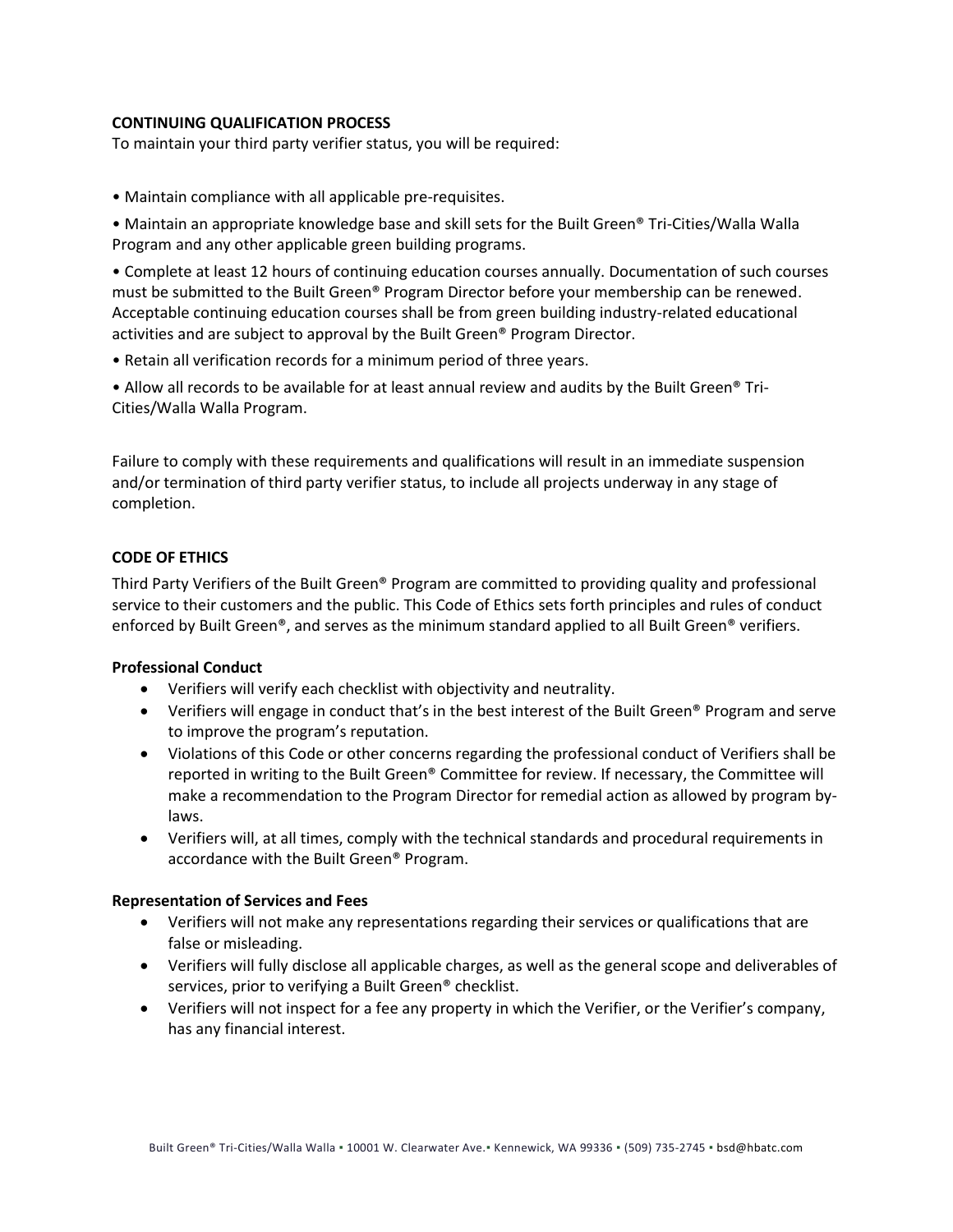# **CONTINUING QUALIFICATION PROCESS**

To maintain your third party verifier status, you will be required:

• Maintain compliance with all applicable pre-requisites.

• Maintain an appropriate knowledge base and skill sets for the Built Green® Tri-Cities/Walla Walla Program and any other applicable green building programs.

• Complete at least 12 hours of continuing education courses annually. Documentation of such courses must be submitted to the Built Green® Program Director before your membership can be renewed. Acceptable continuing education courses shall be from green building industry-related educational activities and are subject to approval by the Built Green® Program Director.

• Retain all verification records for a minimum period of three years.

• Allow all records to be available for at least annual review and audits by the Built Green® Tri-Cities/Walla Walla Program.

Failure to comply with these requirements and qualifications will result in an immediate suspension and/or termination of third party verifier status, to include all projects underway in any stage of completion.

# **CODE OF ETHICS**

Third Party Verifiers of the Built Green® Program are committed to providing quality and professional service to their customers and the public. This Code of Ethics sets forth principles and rules of conduct enforced by Built Green®, and serves as the minimum standard applied to all Built Green® verifiers.

## **Professional Conduct**

- Verifiers will verify each checklist with objectivity and neutrality.
- Verifiers will engage in conduct that's in the best interest of the Built Green® Program and serve to improve the program's reputation.
- Violations of this Code or other concerns regarding the professional conduct of Verifiers shall be reported in writing to the Built Green® Committee for review. If necessary, the Committee will make a recommendation to the Program Director for remedial action as allowed by program bylaws.
- Verifiers will, at all times, comply with the technical standards and procedural requirements in accordance with the Built Green® Program.

#### **Representation of Services and Fees**

- Verifiers will not make any representations regarding their services or qualifications that are false or misleading.
- Verifiers will fully disclose all applicable charges, as well as the general scope and deliverables of services, prior to verifying a Built Green® checklist.
- Verifiers will not inspect for a fee any property in which the Verifier, or the Verifier's company, has any financial interest.